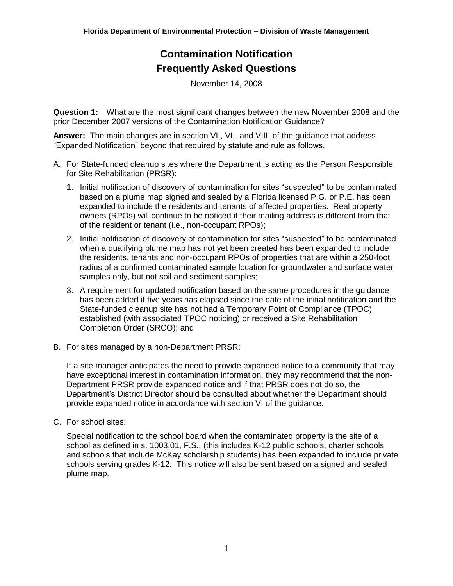November 14, 2008

**Question 1:** What are the most significant changes between the new November 2008 and the prior December 2007 versions of the Contamination Notification Guidance?

**Answer:** The main changes are in section VI., VII. and VIII. of the guidance that address "Expanded Notification" beyond that required by statute and rule as follows.

- A. For State-funded cleanup sites where the Department is acting as the Person Responsible for Site Rehabilitation (PRSR):
	- 1. Initial notification of discovery of contamination for sites "suspected" to be contaminated based on a plume map signed and sealed by a Florida licensed P.G. or P.E. has been expanded to include the residents and tenants of affected properties. Real property owners (RPOs) will continue to be noticed if their mailing address is different from that of the resident or tenant (i.e., non-occupant RPOs);
	- 2. Initial notification of discovery of contamination for sites "suspected" to be contaminated when a qualifying plume map has not yet been created has been expanded to include the residents, tenants and non-occupant RPOs of properties that are within a 250-foot radius of a confirmed contaminated sample location for groundwater and surface water samples only, but not soil and sediment samples;
	- 3. A requirement for updated notification based on the same procedures in the guidance has been added if five years has elapsed since the date of the initial notification and the State-funded cleanup site has not had a Temporary Point of Compliance (TPOC) established (with associated TPOC noticing) or received a Site Rehabilitation Completion Order (SRCO); and
- B. For sites managed by a non-Department PRSR:

If a site manager anticipates the need to provide expanded notice to a community that may have exceptional interest in contamination information, they may recommend that the non-Department PRSR provide expanded notice and if that PRSR does not do so, the Department's District Director should be consulted about whether the Department should provide expanded notice in accordance with section VI of the guidance.

C. For school sites:

Special notification to the school board when the contaminated property is the site of a school as defined in s. 1003.01, F.S., (this includes K-12 public schools, charter schools and schools that include McKay scholarship students) has been expanded to include private schools serving grades K-12. This notice will also be sent based on a signed and sealed plume map.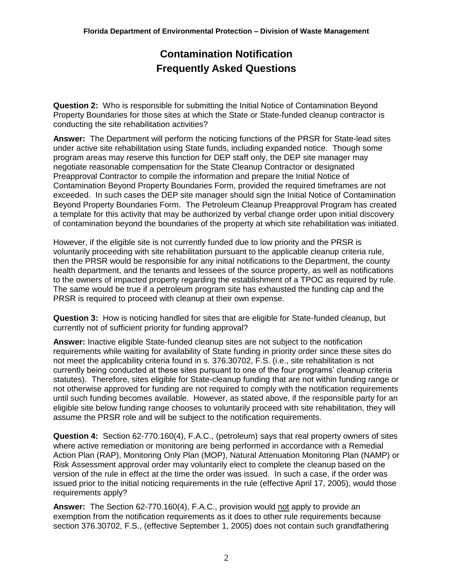**Question 2:** Who is responsible for submitting the Initial Notice of Contamination Beyond Property Boundaries for those sites at which the State or State-funded cleanup contractor is conducting the site rehabilitation activities?

**Answer:** The Department will perform the noticing functions of the PRSR for State-lead sites under active site rehabilitation using State funds, including expanded notice. Though some program areas may reserve this function for DEP staff only, the DEP site manager may negotiate reasonable compensation for the State Cleanup Contractor or designated Preapproval Contractor to compile the information and prepare the Initial Notice of Contamination Beyond Property Boundaries Form, provided the required timeframes are not exceeded. In such cases the DEP site manager should sign the Initial Notice of Contamination Beyond Property Boundaries Form. The Petroleum Cleanup Preapproval Program has created a template for this activity that may be authorized by verbal change order upon initial discovery of contamination beyond the boundaries of the property at which site rehabilitation was initiated.

However, if the eligible site is not currently funded due to low priority and the PRSR is voluntarily proceeding with site rehabilitation pursuant to the applicable cleanup criteria rule, then the PRSR would be responsible for any initial notifications to the Department, the county health department, and the tenants and lessees of the source property, as well as notifications to the owners of impacted property regarding the establishment of a TPOC as required by rule. The same would be true if a petroleum program site has exhausted the funding cap and the PRSR is required to proceed with cleanup at their own expense.

**Question 3:** How is noticing handled for sites that are eligible for State-funded cleanup, but currently not of sufficient priority for funding approval?

**Answer:** Inactive eligible State-funded cleanup sites are not subject to the notification requirements while waiting for availability of State funding in priority order since these sites do not meet the applicability criteria found in s. 376.30702, F.S. (i.e., site rehabilitation is not currently being conducted at these sites pursuant to one of the four programs' cleanup criteria statutes). Therefore, sites eligible for State-cleanup funding that are not within funding range or not otherwise approved for funding are not required to comply with the notification requirements until such funding becomes available. However, as stated above, if the responsible party for an eligible site below funding range chooses to voluntarily proceed with site rehabilitation, they will assume the PRSR role and will be subject to the notification requirements.

**Question 4:** Section 62-770.160(4), F.A.C., (petroleum) says that real property owners of sites where active remediation or monitoring are being performed in accordance with a Remedial Action Plan (RAP), Monitoring Only Plan (MOP), Natural Attenuation Monitoring Plan (NAMP) or Risk Assessment approval order may voluntarily elect to complete the cleanup based on the version of the rule in effect at the time the order was issued. In such a case, if the order was issued prior to the initial noticing requirements in the rule (effective April 17, 2005), would those requirements apply?

**Answer:** The Section 62-770.160(4), F.A.C., provision would not apply to provide an exemption from the notification requirements as it does to other rule requirements because section 376.30702, F.S., (effective September 1, 2005) does not contain such grandfathering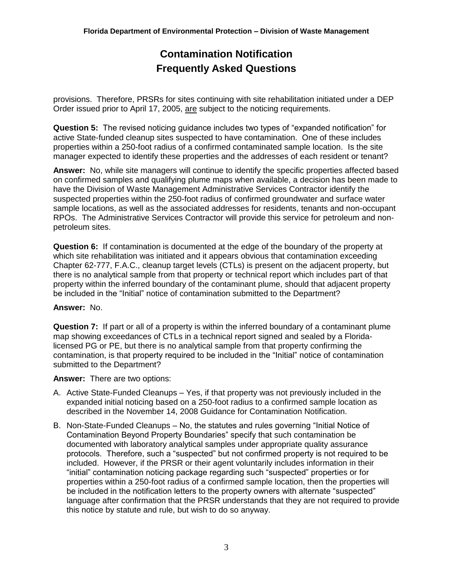provisions. Therefore, PRSRs for sites continuing with site rehabilitation initiated under a DEP Order issued prior to April 17, 2005, are subject to the noticing requirements.

**Question 5:** The revised noticing guidance includes two types of "expanded notification" for active State-funded cleanup sites suspected to have contamination. One of these includes properties within a 250-foot radius of a confirmed contaminated sample location. Is the site manager expected to identify these properties and the addresses of each resident or tenant?

**Answer:** No, while site managers will continue to identify the specific properties affected based on confirmed samples and qualifying plume maps when available, a decision has been made to have the Division of Waste Management Administrative Services Contractor identify the suspected properties within the 250-foot radius of confirmed groundwater and surface water sample locations, as well as the associated addresses for residents, tenants and non-occupant RPOs. The Administrative Services Contractor will provide this service for petroleum and nonpetroleum sites.

**Question 6:** If contamination is documented at the edge of the boundary of the property at which site rehabilitation was initiated and it appears obvious that contamination exceeding Chapter 62-777, F.A.C., cleanup target levels (CTLs) is present on the adjacent property, but there is no analytical sample from that property or technical report which includes part of that property within the inferred boundary of the contaminant plume, should that adjacent property be included in the "Initial" notice of contamination submitted to the Department?

#### **Answer:** No.

**Question 7:** If part or all of a property is within the inferred boundary of a contaminant plume map showing exceedances of CTLs in a technical report signed and sealed by a Floridalicensed PG or PE, but there is no analytical sample from that property confirming the contamination, is that property required to be included in the "Initial" notice of contamination submitted to the Department?

#### **Answer:** There are two options:

- A. Active State-Funded Cleanups Yes, if that property was not previously included in the expanded initial noticing based on a 250-foot radius to a confirmed sample location as described in the November 14, 2008 Guidance for Contamination Notification.
- B. Non-State-Funded Cleanups No, the statutes and rules governing "Initial Notice of Contamination Beyond Property Boundaries" specify that such contamination be documented with laboratory analytical samples under appropriate quality assurance protocols. Therefore, such a "suspected" but not confirmed property is not required to be included. However, if the PRSR or their agent voluntarily includes information in their "initial" contamination noticing package regarding such "suspected" properties or for properties within a 250-foot radius of a confirmed sample location, then the properties will be included in the notification letters to the property owners with alternate "suspected" language after confirmation that the PRSR understands that they are not required to provide this notice by statute and rule, but wish to do so anyway.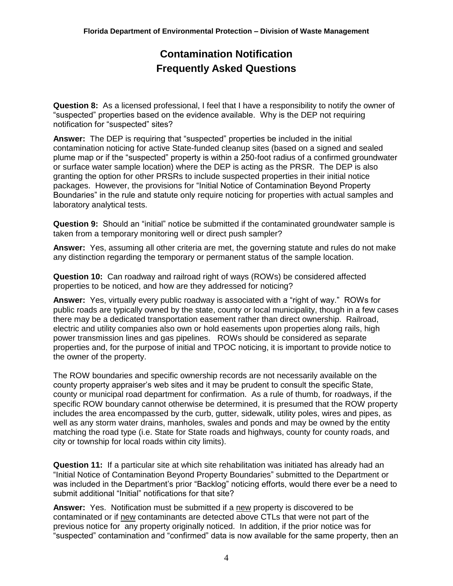**Question 8:** As a licensed professional, I feel that I have a responsibility to notify the owner of "suspected" properties based on the evidence available. Why is the DEP not requiring notification for "suspected" sites?

**Answer:** The DEP is requiring that "suspected" properties be included in the initial contamination noticing for active State-funded cleanup sites (based on a signed and sealed plume map or if the "suspected" property is within a 250-foot radius of a confirmed groundwater or surface water sample location) where the DEP is acting as the PRSR. The DEP is also granting the option for other PRSRs to include suspected properties in their initial notice packages. However, the provisions for "Initial Notice of Contamination Beyond Property Boundaries" in the rule and statute only require noticing for properties with actual samples and laboratory analytical tests.

**Question 9:** Should an "initial" notice be submitted if the contaminated groundwater sample is taken from a temporary monitoring well or direct push sampler?

**Answer:** Yes, assuming all other criteria are met, the governing statute and rules do not make any distinction regarding the temporary or permanent status of the sample location.

**Question 10:** Can roadway and railroad right of ways (ROWs) be considered affected properties to be noticed, and how are they addressed for noticing?

**Answer:** Yes, virtually every public roadway is associated with a "right of way." ROWs for public roads are typically owned by the state, county or local municipality, though in a few cases there may be a dedicated transportation easement rather than direct ownership. Railroad, electric and utility companies also own or hold easements upon properties along rails, high power transmission lines and gas pipelines. ROWs should be considered as separate properties and, for the purpose of initial and TPOC noticing, it is important to provide notice to the owner of the property.

The ROW boundaries and specific ownership records are not necessarily available on the county property appraiser's web sites and it may be prudent to consult the specific State, county or municipal road department for confirmation. As a rule of thumb, for roadways, if the specific ROW boundary cannot otherwise be determined, it is presumed that the ROW property includes the area encompassed by the curb, gutter, sidewalk, utility poles, wires and pipes, as well as any storm water drains, manholes, swales and ponds and may be owned by the entity matching the road type (i.e. State for State roads and highways, county for county roads, and city or township for local roads within city limits).

**Question 11:** If a particular site at which site rehabilitation was initiated has already had an "Initial Notice of Contamination Beyond Property Boundaries" submitted to the Department or was included in the Department's prior "Backlog" noticing efforts, would there ever be a need to submit additional "Initial" notifications for that site?

Answer: Yes. Notification must be submitted if a new property is discovered to be contaminated or if new contaminants are detected above CTLs that were not part of the previous notice for any property originally noticed. In addition, if the prior notice was for "suspected" contamination and "confirmed" data is now available for the same property, then an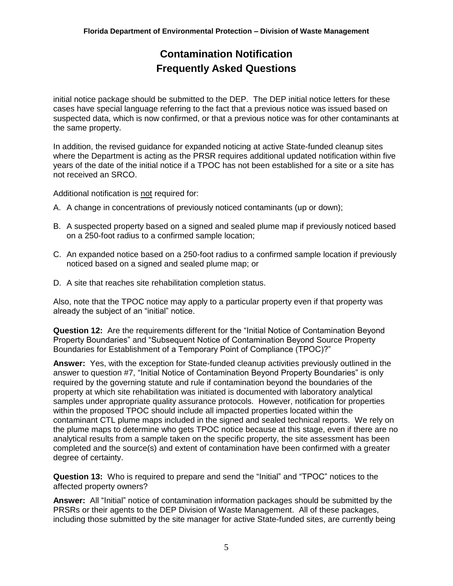initial notice package should be submitted to the DEP. The DEP initial notice letters for these cases have special language referring to the fact that a previous notice was issued based on suspected data, which is now confirmed, or that a previous notice was for other contaminants at the same property.

In addition, the revised guidance for expanded noticing at active State-funded cleanup sites where the Department is acting as the PRSR requires additional updated notification within five years of the date of the initial notice if a TPOC has not been established for a site or a site has not received an SRCO.

Additional notification is not required for:

- A. A change in concentrations of previously noticed contaminants (up or down);
- B. A suspected property based on a signed and sealed plume map if previously noticed based on a 250-foot radius to a confirmed sample location;
- C. An expanded notice based on a 250-foot radius to a confirmed sample location if previously noticed based on a signed and sealed plume map; or
- D. A site that reaches site rehabilitation completion status.

Also, note that the TPOC notice may apply to a particular property even if that property was already the subject of an "initial" notice.

**Question 12:** Are the requirements different for the "Initial Notice of Contamination Beyond Property Boundaries" and "Subsequent Notice of Contamination Beyond Source Property Boundaries for Establishment of a Temporary Point of Compliance (TPOC)?"

**Answer:** Yes, with the exception for State-funded cleanup activities previously outlined in the answer to question #7, "Initial Notice of Contamination Beyond Property Boundaries" is only required by the governing statute and rule if contamination beyond the boundaries of the property at which site rehabilitation was initiated is documented with laboratory analytical samples under appropriate quality assurance protocols. However, notification for properties within the proposed TPOC should include all impacted properties located within the contaminant CTL plume maps included in the signed and sealed technical reports. We rely on the plume maps to determine who gets TPOC notice because at this stage, even if there are no analytical results from a sample taken on the specific property, the site assessment has been completed and the source(s) and extent of contamination have been confirmed with a greater degree of certainty.

**Question 13:** Who is required to prepare and send the "Initial" and "TPOC" notices to the affected property owners?

**Answer:** All "Initial" notice of contamination information packages should be submitted by the PRSRs or their agents to the DEP Division of Waste Management. All of these packages, including those submitted by the site manager for active State-funded sites, are currently being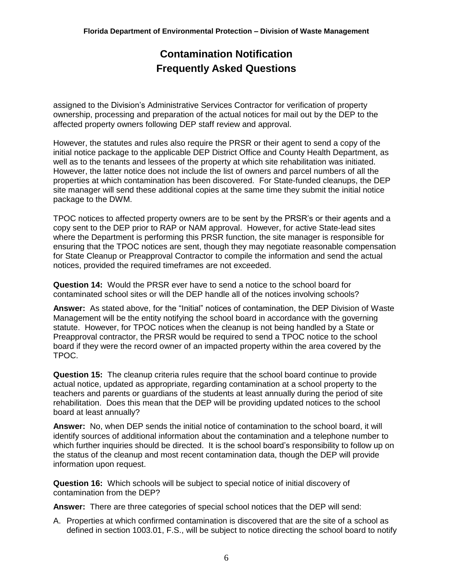assigned to the Division's Administrative Services Contractor for verification of property ownership, processing and preparation of the actual notices for mail out by the DEP to the affected property owners following DEP staff review and approval.

However, the statutes and rules also require the PRSR or their agent to send a copy of the initial notice package to the applicable DEP District Office and County Health Department, as well as to the tenants and lessees of the property at which site rehabilitation was initiated. However, the latter notice does not include the list of owners and parcel numbers of all the properties at which contamination has been discovered. For State-funded cleanups, the DEP site manager will send these additional copies at the same time they submit the initial notice package to the DWM.

TPOC notices to affected property owners are to be sent by the PRSR's or their agents and a copy sent to the DEP prior to RAP or NAM approval. However, for active State-lead sites where the Department is performing this PRSR function, the site manager is responsible for ensuring that the TPOC notices are sent, though they may negotiate reasonable compensation for State Cleanup or Preapproval Contractor to compile the information and send the actual notices, provided the required timeframes are not exceeded.

**Question 14:** Would the PRSR ever have to send a notice to the school board for contaminated school sites or will the DEP handle all of the notices involving schools?

**Answer:** As stated above, for the "Initial" notices of contamination, the DEP Division of Waste Management will be the entity notifying the school board in accordance with the governing statute. However, for TPOC notices when the cleanup is not being handled by a State or Preapproval contractor, the PRSR would be required to send a TPOC notice to the school board if they were the record owner of an impacted property within the area covered by the TPOC.

**Question 15:** The cleanup criteria rules require that the school board continue to provide actual notice, updated as appropriate, regarding contamination at a school property to the teachers and parents or guardians of the students at least annually during the period of site rehabilitation. Does this mean that the DEP will be providing updated notices to the school board at least annually?

**Answer:** No, when DEP sends the initial notice of contamination to the school board, it will identify sources of additional information about the contamination and a telephone number to which further inquiries should be directed. It is the school board's responsibility to follow up on the status of the cleanup and most recent contamination data, though the DEP will provide information upon request.

**Question 16:** Which schools will be subject to special notice of initial discovery of contamination from the DEP?

**Answer:** There are three categories of special school notices that the DEP will send:

A. Properties at which confirmed contamination is discovered that are the site of a school as defined in section 1003.01, F.S., will be subject to notice directing the school board to notify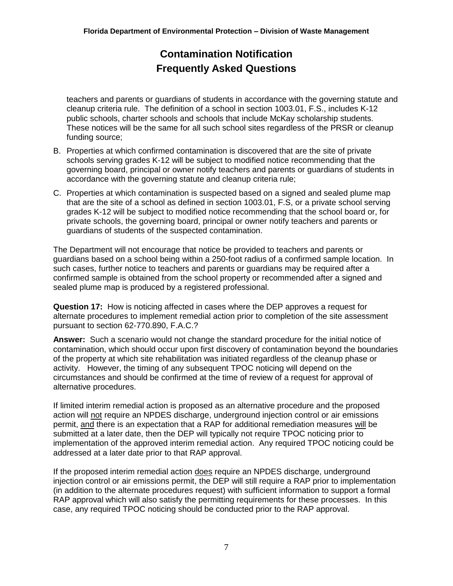teachers and parents or guardians of students in accordance with the governing statute and cleanup criteria rule. The definition of a school in section 1003.01, F.S., includes K-12 public schools, charter schools and schools that include McKay scholarship students. These notices will be the same for all such school sites regardless of the PRSR or cleanup funding source;

- B. Properties at which confirmed contamination is discovered that are the site of private schools serving grades K-12 will be subject to modified notice recommending that the governing board, principal or owner notify teachers and parents or guardians of students in accordance with the governing statute and cleanup criteria rule;
- C. Properties at which contamination is suspected based on a signed and sealed plume map that are the site of a school as defined in section 1003.01, F.S, or a private school serving grades K-12 will be subject to modified notice recommending that the school board or, for private schools, the governing board, principal or owner notify teachers and parents or guardians of students of the suspected contamination.

The Department will not encourage that notice be provided to teachers and parents or guardians based on a school being within a 250-foot radius of a confirmed sample location. In such cases, further notice to teachers and parents or guardians may be required after a confirmed sample is obtained from the school property or recommended after a signed and sealed plume map is produced by a registered professional.

**Question 17:** How is noticing affected in cases where the DEP approves a request for alternate procedures to implement remedial action prior to completion of the site assessment pursuant to section 62-770.890, F.A.C.?

**Answer:** Such a scenario would not change the standard procedure for the initial notice of contamination, which should occur upon first discovery of contamination beyond the boundaries of the property at which site rehabilitation was initiated regardless of the cleanup phase or activity. However, the timing of any subsequent TPOC noticing will depend on the circumstances and should be confirmed at the time of review of a request for approval of alternative procedures.

If limited interim remedial action is proposed as an alternative procedure and the proposed action will not require an NPDES discharge, underground injection control or air emissions permit, and there is an expectation that a RAP for additional remediation measures will be submitted at a later date, then the DEP will typically not require TPOC noticing prior to implementation of the approved interim remedial action. Any required TPOC noticing could be addressed at a later date prior to that RAP approval.

If the proposed interim remedial action does require an NPDES discharge, underground injection control or air emissions permit, the DEP will still require a RAP prior to implementation (in addition to the alternate procedures request) with sufficient information to support a formal RAP approval which will also satisfy the permitting requirements for these processes. In this case, any required TPOC noticing should be conducted prior to the RAP approval.